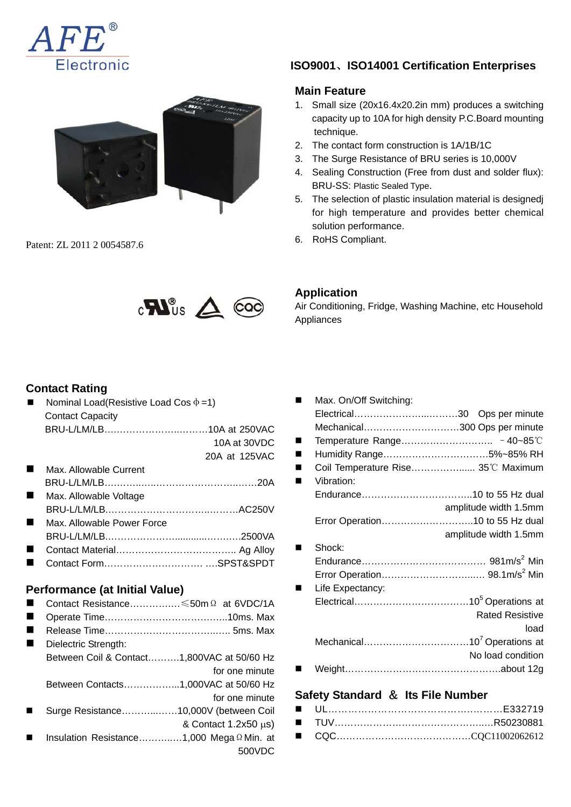



Patent: ZL 2011 2 0054587.6

# **ISO9001**、**ISO14001 Certification Enterprises**

#### **Main Feature**

- 1. Small size (20x16.4x20.2in mm) produces a switching capacity up to 10A for high density P.C.Board mounting technique.
- 2. The contact form construction is 1A/1B/1C
- 3. The Surge Resistance of BRU series is 10,000V
- 4. Sealing Construction (Free from dust and solder flux): BRU-SS: Plastic Sealed Type.
- 5. The selection of plastic insulation material is designedj for high temperature and provides better chemical solution performance.
- 6. RoHS Compliant.



#### **Contact Rating**

|   | Nominal Load(Resistive Load Cos $\Phi$ =1) |                            |
|---|--------------------------------------------|----------------------------|
|   | <b>Contact Capacity</b>                    |                            |
|   | BRU-L/LM/LB10A at 250VAC                   |                            |
|   |                                            | 10A at 30VDC               |
|   |                                            | 20A at 125VAC              |
|   | Max. Allowable Current                     |                            |
|   |                                            |                            |
|   | Max. Allowable Voltage                     |                            |
|   |                                            |                            |
| ٠ | Max, Allowable Power Force                 |                            |
|   |                                            |                            |
|   |                                            |                            |
|   |                                            |                            |
|   |                                            |                            |
|   | Performance (at Initial Value)             |                            |
|   | Contact Resistance ≤50m Ω at 6VDC/1A       |                            |
|   |                                            |                            |
|   |                                            |                            |
|   | Dielectric Strength:                       |                            |
|   | Between Coil & Contact1,800VAC at 50/60 Hz |                            |
|   |                                            |                            |
|   |                                            | for one minute             |
|   |                                            |                            |
|   | Between Contacts1,000VAC at 50/60 Hz       | for one minute             |
|   |                                            |                            |
|   | Surge Resistance10,000V (between Coil      |                            |
|   |                                            | & Contact $1.2x50 \mu s$ ) |
|   | Insulation Resistance1,000 Mega Ω Min. at  |                            |
|   |                                            | 500VDC                     |

## **Application**

Air Conditioning, Fridge, Washing Machine, etc Household Appliances

| Max. On/Off Switching:             |                        |
|------------------------------------|------------------------|
|                                    |                        |
| Mechanical300 Ops per minute       |                        |
|                                    |                        |
| Humidity Range5%~85% RH            |                        |
| Coil Temperature Rise 35°C Maximum |                        |
| Vibration:                         |                        |
|                                    |                        |
|                                    | amplitude width 1.5mm  |
| Error Operation10 to 55 Hz dual    |                        |
|                                    | amplitude width 1.5mm  |
| Shock:                             |                        |
|                                    |                        |
|                                    |                        |
| Life Expectancy:                   |                        |
|                                    |                        |
|                                    | <b>Rated Resistive</b> |
|                                    | load                   |
|                                    |                        |
|                                    | No load condition      |
|                                    |                        |
|                                    |                        |

#### **Safety Standard** & **Its File Number**